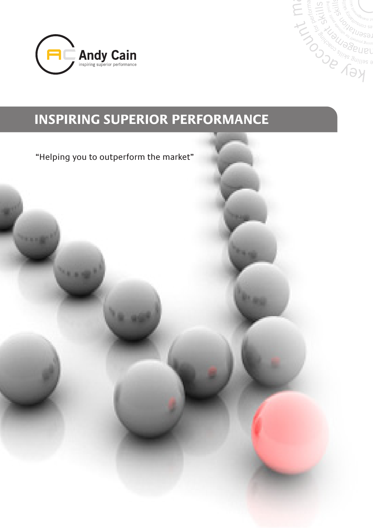

21.12

1000



**Bag** 

# **INSPIRING SUPERIOR PERFORMANCE**

"Helping you to outperform the market"

A. AM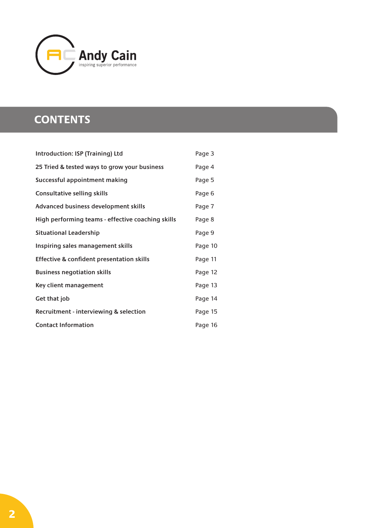

## **CONTENTS**

| Introduction: ISP (Training) Ltd                  | Page 3  |
|---------------------------------------------------|---------|
| 25 Tried & tested ways to grow your business      | Page 4  |
| Successful appointment making                     | Page 5  |
| <b>Consultative selling skills</b>                | Page 6  |
| Advanced business development skills              | Page 7  |
| High performing teams - effective coaching skills | Page 8  |
| <b>Situational Leadership</b>                     | Page 9  |
| Inspiring sales management skills                 | Page 10 |
| Effective & confident presentation skills         | Page 11 |
| <b>Business negotiation skills</b>                | Page 12 |
| Key client management                             | Page 13 |
| Get that job                                      | Page 14 |
| Recruitment - interviewing & selection            | Page 15 |
| <b>Contact Information</b>                        | Page 16 |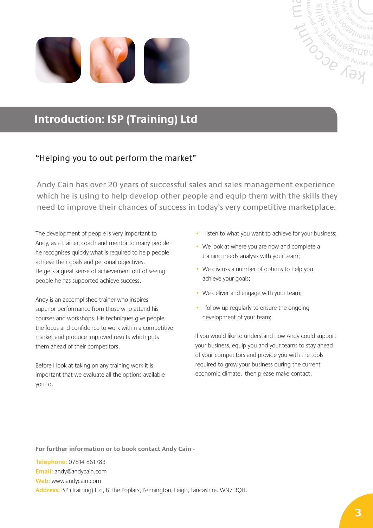



## **Introduction: ISP (Training) Ltd**

### "Helping you to out perform the market"

Andy Cain has over 20 years of successful sales and sales management experience which he is using to help develop other people and equip them with the skills they need to improve their chances of success in today's very competitive marketplace.

The development of people is very important to Andy, as a trainer, coach and mentor to many people he recognises quickly what is required to help people achieve their goals and personal objectives. He gets a great sense of achievement out of seeing people he has supported achieve success.

Andy is an accomplished trainer who inspires superior performance from those who attend his courses and workshops. His techniques give people the focus and confidence to work within a competitive market and produce improved results which puts them ahead of their competitors.

Before I look at taking on any training work it is important that we evaluate all the options available you to.

- I listen to what you want to achieve for your business;
- We look at where you are now and complete a training needs analysis with your team;
- We discuss a number of options to help you achieve your goals;
- We deliver and engage with your team;
- I follow up regularly to ensure the ongoing development of your team;

If you would like to understand how Andy could support your business, equip you and your teams to stay ahead of your competitors and provide you with the tools required to grow your business during the current economic climate, then please make contact.

**For further information or to book contact Andy Cain -**

**Telephone:** 07814 861783 **Email:** andy@andycain.com **Web:** www.andycain.com **Address:** ISP (Training) Ltd, 8 The Poplars, Pennington, Leigh, Lancashire. WN7 3QH.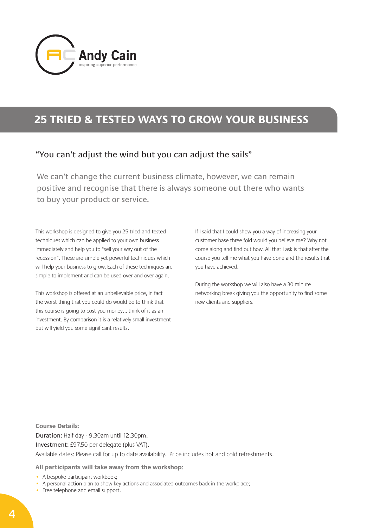

## **25 TRIED & TESTED WAYS TO GROW YOUR BUSINESS**

### "You can't adjust the wind but you can adjust the sails"

We can't change the current business climate, however, we can remain positive and recognise that there is always someone out there who wants to buy your product or service.

This workshop is designed to give you 25 tried and tested techniques which can be applied to your own business immediately and help you to "sell your way out of the recession". These are simple yet powerful techniques which will help your business to grow. Each of these techniques are simple to implement and can be used over and over again.

This workshop is offered at an unbelievable price, in fact the worst thing that you could do would be to think that this course is going to cost you money… think of it as an investment. By comparison it is a relatively small investment but will yield you some significant results.

If I said that I could show you a way of increasing your customer base three fold would you believe me? Why not come along and find out how. All that I ask is that after the course you tell me what you have done and the results that you have achieved.

During the workshop we will also have a 30 minute networking break giving you the opportunity to find some new clients and suppliers.

**Course Details:** Duration: Half day - 9.30am until 12.30pm. Investment: £97.50 per delegate (plus VAT). Available dates: Please call for up to date availability. Price includes hot and cold refreshments.

- A bespoke participant workbook;
- A personal action plan to show key actions and associated outcomes back in the workplace;
- Free telephone and email support.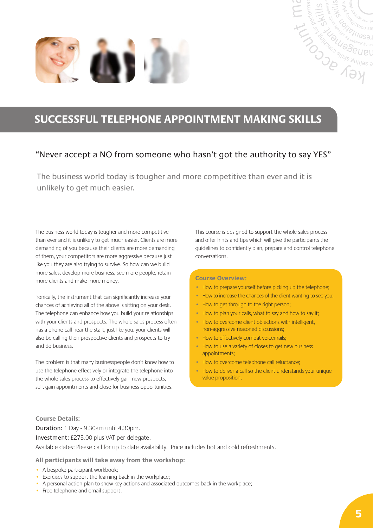

## **SUCCESSFUL TELEPHONE APPOINTMENT MAKING SKILLS**

### "Never accept a NO from someone who hasn't got the authority to say YES"

The business world today is tougher and more competitive than ever and it is unlikely to get much easier.

The business world today is tougher and more competitive than ever and it is unlikely to get much easier. Clients are more demanding of you because their clients are more demanding of them, your competitors are more aggressive because just like you they are also trying to survive. So how can we build more sales, develop more business, see more people, retain more clients and make more money.

Ironically, the instrument that can significantly increase your chances of achieving all of the above is sitting on your desk. The telephone can enhance how you build your relationships with your clients and prospects. The whole sales process often has a phone call near the start, just like you, your clients will also be calling their prospective clients and prospects to try and do business.

The problem is that many businesspeople don't know how to use the telephone effectively or integrate the telephone into the whole sales process to effectively gain new prospects, sell, gain appointments and close for business opportunities.

This course is designed to support the whole sales process and offer hints and tips which will give the participants the guidelines to confidently plan, prepare and control telephone conversations.

**CONSCRIPTION AND SUITERS AND SUBARUPAL SUBARUPAL SUBARUPAL SUBARUPAL SUBARUPAL SUBARUPAL SUBARUPAL SUBARUPAL SUBARUPAL SUBARUPAL SUBARUPAL SUBARUPAL SUBARUPAL SUBARUPAL SUBARUPAL SUBARUPAL SUBARUPAL SUBARUPAL SUBARUPAL SU** 

#### **Course Overview:**

- How to prepare yourself before picking up the telephone;
- How to increase the chances of the client wanting to see you:
- How to get through to the right person;
- How to plan your calls, what to say and how to say it;
- How to overcome client objections with intelligent. non-aggressive reasoned discussions;
- How to effectively combat voicemails;
- How to use a variety of closes to get new business appointments;
- How to overcome telephone call reluctance;
- How to deliver a call so the client understands your unique value proposition.

#### **Course Details:**

Duration: 1 Day - 9.30am until 4.30pm. Investment: £275.00 plus VAT per delegate. Available dates: Please call for up to date availability. Price includes hot and cold refreshments.

- A bespoke participant workbook;
- Exercises to support the learning back in the workplace;
- A personal action plan to show key actions and associated outcomes back in the workplace;
- Free telephone and email support.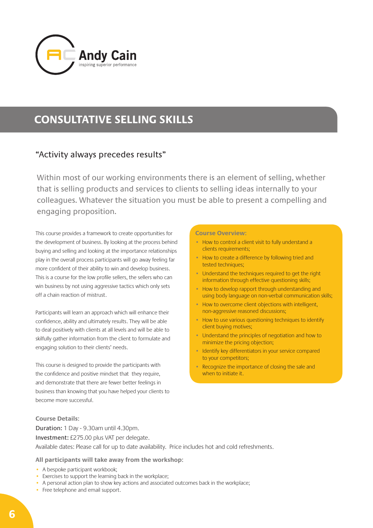

## **CONSULTATIVE SELLING SKILLS**

### "Activity always precedes results"

Within most of our working environments there is an element of selling, whether that is selling products and services to clients to selling ideas internally to your colleagues. Whatever the situation you must be able to present a compelling and engaging proposition.

This course provides a framework to create opportunities for the development of business. By looking at the process behind buying and selling and looking at the importance relationships play in the overall process participants will go away feeling far more confident of their ability to win and develop business. This is a course for the low profile sellers, the sellers who can win business by not using aggressive tactics which only sets off a chain reaction of mistrust.

Participants will learn an approach which will enhance their confidence, ability and ultimately results. They will be able to deal positively with clients at all levels and will be able to skilfully gather information from the client to formulate and engaging solution to their clients' needs.

This course is designed to provide the participants with the confidence and positive mindset that they require, and demonstrate that there are fewer better feelings in business than knowing that you have helped your clients to become more successful.

#### **Course Details:**

Duration: 1 Day - 9.30am until 4.30pm. Investment: £275.00 plus VAT per delegate. Available dates: Please call for up to date availability. Price includes hot and cold refreshments.

### **All participants will take away from the workshop:**

- A bespoke participant workbook;
- Exercises to support the learning back in the workplace;
- A personal action plan to show key actions and associated outcomes back in the workplace;
- Free telephone and email support.

#### **Course Overview:**

- How to control a client visit to fully understand a clients requirements;
- How to create a difference by following tried and tested techniques;
- Understand the techniques required to get the right information through effective questioning skills;
- How to develop rapport through understanding and using body language on non-verbal communication skills;
- How to overcome client objections with intelligent, non-aggressive reasoned discussions;
- How to use various questioning techniques to identify client buying motives;
- Understand the principles of negotiation and how to minimize the pricing objection;
- Identify key differentiators in your service compared to your competitors;
- Recognize the importance of closing the sale and when to initiate it.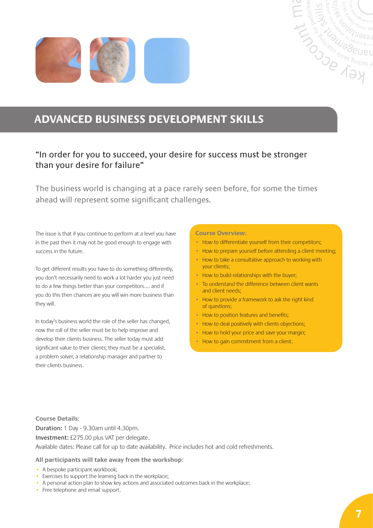



## **ADVANCED BUSINESS DEVELOPMENT SKILLS**

### "In order for you to succeed, your desire for success must be stronger than your desire for failure"

The business world is changing at a pace rarely seen before, for some the times ahead will represent some significant challenges.

The issue is that if you continue to perform at a level you have in the past then it may not be good enough to engage with success in the future.

To get different results you have to do something differently, you don't necessarily need to work a lot harder you just need to do a few things better than your competitors…. and if you do this then chances are you will win more business than they will.

In today's business world the role of the seller has changed, now the roll of the seller must be to help improve and develop their clients business. The seller today must add significant value to their clients; they must be a specialist, a problem solver, a relationship manager and partner to their clients business.

#### **Course Overview:**

- How to differentiate yourself from their competitors;
- How to prepare yourself before attending a client meeting;
- How to take a consultative approach to working with your clients;
- How to build relationships with the buyer;
- To understand the difference between client wants and client needs;
- How to provide a framework to ask the right kind of questions;
- How to position features and benefits:
- How to deal positively with clients objections;
- How to hold your price and save your margin;
- How to gain commitment from a client.

**Course Details:**

Duration: 1 Day - 9.30am until 4.30pm. Investment: £275.00 plus VAT per delegate. Available dates: Please call for up to date availability. Price includes hot and cold refreshments.

- A bespoke participant workbook;
- Exercises to support the learning back in the workplace;
- A personal action plan to show key actions and associated outcomes back in the workplace;
- Free telephone and email support.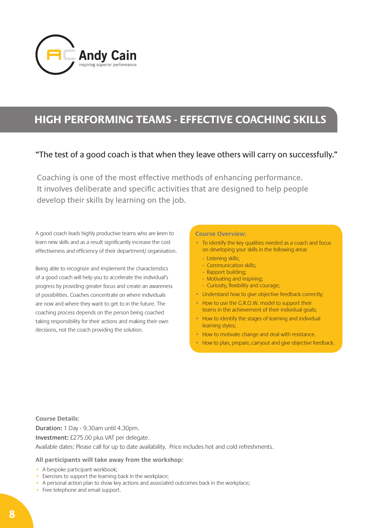

## **HIGH PERFORMING TEAMS - EFFECTIVE COACHING SKILLS**

### "The test of a good coach is that when they leave others will carry on successfully."

Coaching is one of the most effective methods of enhancing performance. It involves deliberate and specific activities that are designed to help people develop their skills by learning on the job.

A good coach leads highly productive teams who are keen to learn new skills and as a result significantly increase the cost effectiveness and efficiency of their department/ organisation.

Being able to recognize and implement the characteristics of a good coach will help you to accelerate the individual's progress by providing greater focus and create an awareness of possibilities. Coaches concentrate on where individuals are now and where they want to get to in the future. The coaching process depends on the person being coached taking responsibility for their actions and making their own decisions, not the coach providing the solution.

#### **Course Overview:**

- To identify the key qualities needed as a coach and focus on developing your skills in the following areas
	- Listening skills;
	- Communication skills;
	- Rapport building;
	- Motivating and inspiring;
	- Curiosity, flexibility and courage;
- Understand how to give objective feedback correctly;
- How to use the G.R.O.W. model to support their teams in the achievement of their individual goals;
- How to identify the stages of learning and individual learning styles;
- How to motivate change and deal with resistance.
- How to plan, prepare, carryout and give objective feedback.

**Course Details:** Duration: 1 Day - 9.30am until 4.30pm. Investment: £275.00 plus VAT per delegate. Available dates: Please call for up to date availability. Price includes hot and cold refreshments.

- A bespoke participant workbook;
- Exercises to support the learning back in the workplace;
- A personal action plan to show key actions and associated outcomes back in the workplace;
- Free telephone and email support.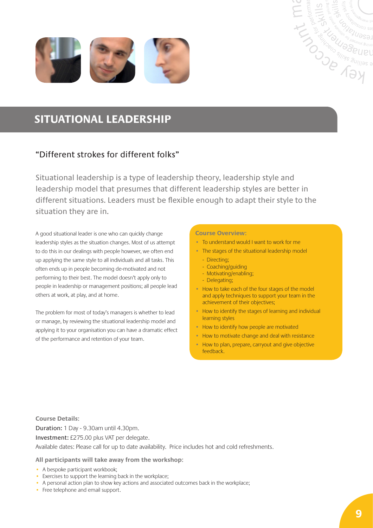

## **SITUATIONAL LEADERSHIP**

### "Different strokes for different folks"

Situational leadership is a type of leadership theory, leadership style and leadership model that presumes that different leadership styles are better in different situations. Leaders must be flexible enough to adapt their style to the situation they are in.

A good situational leader is one who can quickly change leadership styles as the situation changes. Most of us attempt to do this in our dealings with people however, we often end up applying the same style to all individuals and all tasks. This often ends up in people becoming de-motivated and not performing to their best. The model doesn't apply only to people in leadership or management positions; all people lead others at work, at play, and at home.

The problem for most of today's managers is whether to lead or manage, by reviewing the situational leadership model and applying it to your organisation you can have a dramatic effect of the performance and retention of your team.

#### **Course Overview:**

- • To understand would I want to work for me
- The stages of the situational leadership model

**CONSTRUCTION CONSTRUCTION** 

- Directing;
- Coaching/guiding
- Motivating/enabling;
- Delegating;
- How to take each of the four stages of the model and apply techniques to support your team in the achievement of their objectives;
- How to identify the stages of learning and individual learning styles
- How to identify how people are motivated
- How to motivate change and deal with resistance
- How to plan, prepare, carryout and give objective feedback.

**Course Details:** Duration: 1 Day - 9.30am until 4.30pm. Investment: £275.00 plus VAT per delegate. Available dates: Please call for up to date availability. Price includes hot and cold refreshments.

- A bespoke participant workbook;
- Exercises to support the learning back in the workplace;
- A personal action plan to show key actions and associated outcomes back in the workplace;
- Free telephone and email support.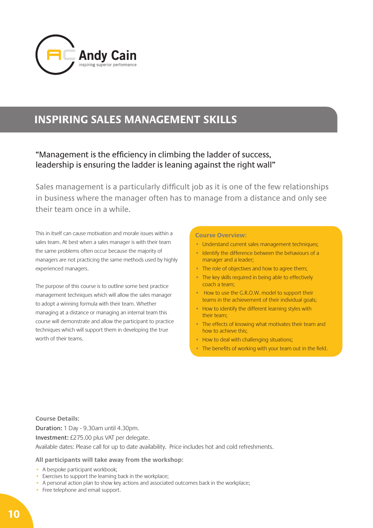

## **INSPIRING SALES MANAGEMENT SKILLS**

### "Management is the efficiency in climbing the ladder of success, leadership is ensuring the ladder is leaning against the right wall"

Sales management is a particularly difficult job as it is one of the few relationships in business where the manager often has to manage from a distance and only see their team once in a while.

This in itself can cause motivation and morale issues within a sales team. At best when a sales manager is with their team the same problems often occur because the majority of managers are not practicing the same methods used by highly experienced managers.

The purpose of this course is to outline some best practice management techniques which will allow the sales manager to adopt a winning formula with their team. Whether managing at a distance or managing an internal team this course will demonstrate and allow the participant to practice techniques which will support them in developing the true worth of their teams.

#### **Course Overview:**

- Understand current sales management techniques;
- Identify the difference between the behaviours of a manager and a leader;
- The role of objectives and how to agree them;
- The key skills required in being able to effectively coach a team;
- How to use the G.R.O.W. model to support their teams in the achievement of their individual goals;
- How to identify the different learning styles with their team;
- The effects of knowing what motivates their team and how to achieve this;
- How to deal with challenging situations;
- The benefits of working with your team out in the field.

**Course Details:** Duration: 1 Day - 9.30am until 4.30pm. Investment: £275.00 plus VAT per delegate. Available dates: Please call for up to date availability. Price includes hot and cold refreshments.

- A bespoke participant workbook;
- Exercises to support the learning back in the workplace;
- A personal action plan to show key actions and associated outcomes back in the workplace;
- Free telephone and email support.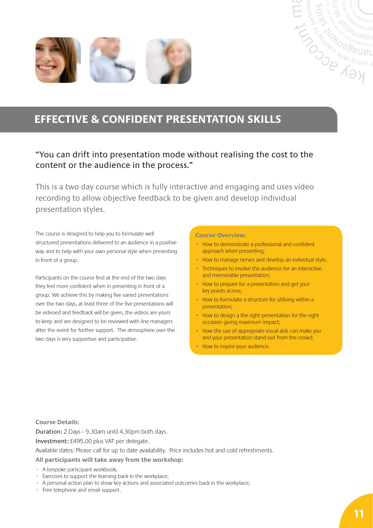



### "You can drift into presentation mode without realising the cost to the content or the audience in the process."

This is a two day course which is fully interactive and engaging and uses video recording to allow objective feedback to be given and develop individual presentation styles.

The course is designed to help you to formulate well structured presentations delivered to an audience in a positive way and to help with your own personal style when presenting in front of a group.

Participants on the course find at the end of the two days they feel more confident when in presenting in front of a group. We achieve this by making five varied presentations over the two days, at least three of the five presentations will be videoed and feedback will be given, the videos are yours to keep and are designed to be reviewed with line managers after the event for further support. The atmosphere over the two days is very supportive and participative.

#### **Course Overview:**

- How to demonstrate a professional and confident approach when presenting;
- How to manage nerves and develop an individual style;

**CONSTRUCTION** 

- Techniques to involve the audience for an interactive and memorable presentation;
- How to prepare for a presentation and get your key points across;
- How to formulate a structure for utilising within a presentation;
- How to design a the right presentation for the right occasion giving maximum impact;
- How the use of appropriate visual aids can make you and your presentation stand out from the crowd;
- How to inspire your audience.

**Course Details:**

Duration: 2 Days - 9.30am until 4.30pm both days.

Investment: £495.00 plus VAT per delegate.

Available dates: Please call for up to date availability. Price includes hot and cold refreshments.

- A bespoke participant workbook;
- Exercises to support the learning back in the workplace;
- A personal action plan to show key actions and associated outcomes back in the workplace;
- Free telephone and email support.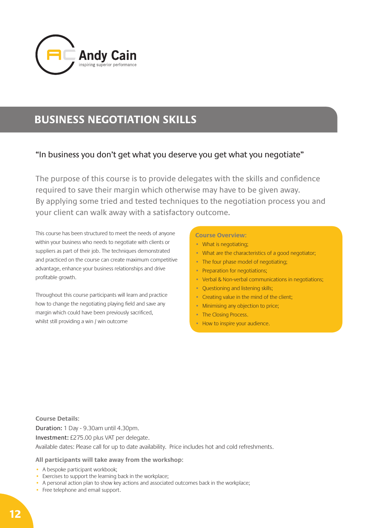

## **BUSINESS NEGOTIATION SKILLS**

### "In business you don't get what you deserve you get what you negotiate"

The purpose of this course is to provide delegates with the skills and confidence required to save their margin which otherwise may have to be given away. By applying some tried and tested techniques to the negotiation process you and your client can walk away with a satisfactory outcome.

This course has been structured to meet the needs of anyone within your business who needs to negotiate with clients or suppliers as part of their job. The techniques demonstrated and practiced on the course can create maximum competitive advantage, enhance your business relationships and drive profitable growth.

Throughout this course participants will learn and practice how to change the negotiating playing field and save any margin which could have been previously sacrificed, whilst still providing a win / win outcome

#### **Course Overview:**

- What is negotiating;
- What are the characteristics of a good negotiator;
- The four phase model of negotiating;
- Preparation for negotiations;
- Verbal & Non-verbal communications in negotiations;
- Questioning and listening skills;
- Creating value in the mind of the client;
- Minimising any objection to price;
- The Closing Process.
- How to inspire your audience.

**Course Details:** Duration: 1 Day - 9.30am until 4.30pm. Investment: £275.00 plus VAT per delegate. Available dates: Please call for up to date availability. Price includes hot and cold refreshments.

- A bespoke participant workbook;
- Exercises to support the learning back in the workplace;
- A personal action plan to show key actions and associated outcomes back in the workplace;
- Free telephone and email support.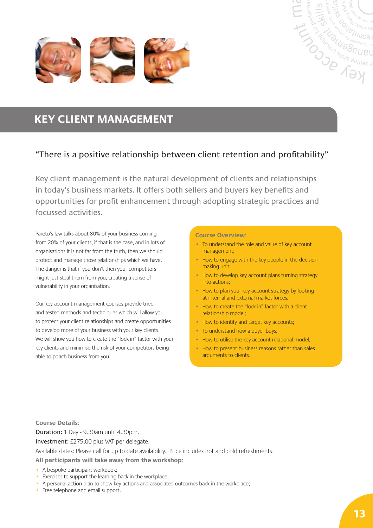



### "There is a positive relationship between client retention and profitability"

Key client management is the natural development of clients and relationships in today's business markets. It offers both sellers and buyers key benefits and opportunities for profit enhancement through adopting strategic practices and focussed activities.

Pareto's law talks about 80% of your business coming from 20% of your clients, if that is the case, and in lots of organisations it is not far from the truth, then we should protect and manage those relationships which we have. The danger is that if you don't then your competitors might just steal them from you, creating a sense of vulnerability in your organisation.

Our key account management courses provide tried and tested methods and techniques which will allow you to protect your client relationships and create opportunities to develop more of your business with your key clients. We will show you how to create the "lock in" factor with your key clients and minimise the risk of your competitors being able to poach business from you.

#### **Course Overview:**

- To understand the role and value of key account management;
- How to engage with the key people in the decision making unit;

**CONSTRAINS SURVEY AND SURVEY AND SURVEY AND SURVEY AND SURVEY AND SURVEY AND SURVEY AND SURVEY AND SURVEY AND SURVEY AND SURVEY AND SURVEY AND SURVEY AND SURVEY AND SURVEY AND SURVEY AND SURVEY AND SURVEY AND SURVEY AND S** 

- How to develop key account plans turning strategy into actions;
- How to plan your key account strategy by looking at internal and external market forces;
- How to create the "lock in" factor with a client relationship model;
- How to identify and target key accounts;
- To understand how a buyer buys;
- How to utilise the key account relational model;
- How to present business reasons rather than sales arguments to clients.

**Course Details:**

Duration: 1 Day - 9.30am until 4.30pm.

Investment: £275.00 plus VAT per delegate.

Available dates: Please call for up to date availability. Price includes hot and cold refreshments.

- A bespoke participant workbook;
- Exercises to support the learning back in the workplace;
- A personal action plan to show key actions and associated outcomes back in the workplace;
- Free telephone and email support.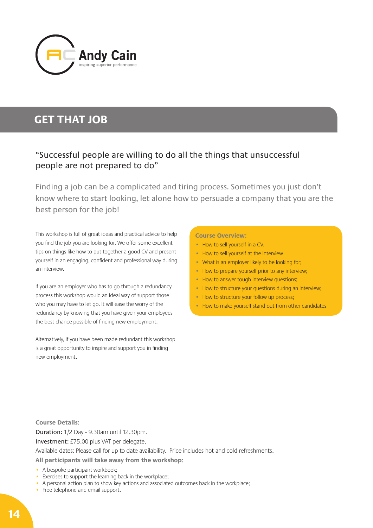

## **GET THAT JOB**

### "Successful people are willing to do all the things that unsuccessful people are not prepared to do"

Finding a job can be a complicated and tiring process. Sometimes you just don't know where to start looking, let alone how to persuade a company that you are the best person for the job!

This workshop is full of great ideas and practical advice to help you find the job you are looking for. We offer some excellent tips on things like how to put together a good CV and present yourself in an engaging, confident and professional way during an interview.

If you are an employer who has to go through a redundancy process this workshop would an ideal way of support those who you may have to let go. It will ease the worry of the redundancy by knowing that you have given your employees the best chance possible of finding new employment.

Alternatively, if you have been made redundant this workshop is a great opportunity to inspire and support you in finding new employment.

#### **Course Overview:**

- How to sell yourself in a CV.
- How to sell yourself at the interview
- What is an employer likely to be looking for;
- How to prepare yourself prior to any interview;
- How to answer tough interview questions;
- How to structure your questions during an interview;
- How to structure your follow up process;
- How to make yourself stand out from other candidates

**Course Details:** Duration: 1/2 Day - 9.30am until 12.30pm. Investment: £75.00 plus VAT per delegate. Available dates: Please call for up to date availability. Price includes hot and cold refreshments. **All participants will take away from the workshop:**

- A bespoke participant workbook;
- Exercises to support the learning back in the workplace;
- A personal action plan to show key actions and associated outcomes back in the workplace;
- Free telephone and email support.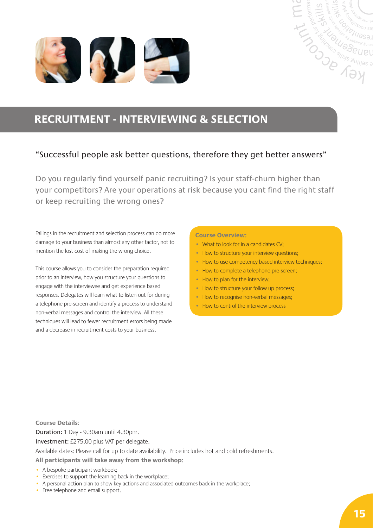



### "Successful people ask better questions, therefore they get better answers"

Do you regularly find yourself panic recruiting? Is your staff-churn higher than your competitors? Are your operations at risk because you cant find the right staff or keep recruiting the wrong ones?

Failings in the recruitment and selection process can do more damage to your business than almost any other factor, not to mention the lost cost of making the wrong choice.

This course allows you to consider the preparation required prior to an interview, how you structure your questions to engage with the interviewee and get experience based responses. Delegates will learn what to listen out for during a telephone pre-screen and identify a process to understand non-verbal messages and control the interview. All these techniques will lead to fewer recruitment errors being made and a decrease in recruitment costs to your business.

#### **Course Overview:**

- What to look for in a candidates CV;
- How to structure your interview questions;
- How to use competency based interview techniques;

**CONSCRIPTION READ ABOUT AND SUITERS AND SURVEY OF A SAN ASSAULT AND SUBJECT OF A SAN ASSAULT AND SUPPORT OF A SAN ASSAULT AND SUPPORT OF A SAN ASSAULT AND SUPPORT OF A SAN ASSAULT AND SUPPORT OF A SAN ASSAULT AND SUPPORT** 

- How to complete a telephone pre-screen;
- How to plan for the interview;
- How to structure your follow up process;
- How to recognise non-verbal messages;
- How to control the interview process

**Course Details:** Duration: 1 Day - 9.30am until 4.30pm. Investment: £275.00 plus VAT per delegate. Available dates: Please call for up to date availability. Price includes hot and cold refreshments. **All participants will take away from the workshop:**

- A bespoke participant workbook;
- Exercises to support the learning back in the workplace;
- A personal action plan to show key actions and associated outcomes back in the workplace;
- Free telephone and email support.